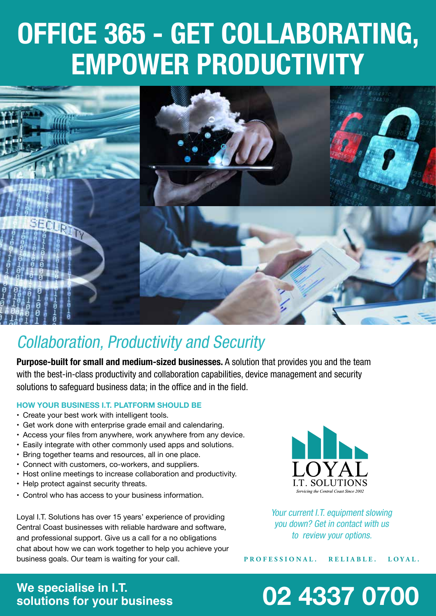# **OFFICE 365 - GET COLLABORATING, EMPOWER PRODUCTIVITY**



### *Collaboration, Productivity and Security*

**Purpose-built for small and medium-sized businesses.** *A solution that provides you and the team*  with the best-in-class productivity and collaboration capabilities, device management and security solutions to safeguard business data; in the office and in the field.

#### **HOW YOUR BUSINESS I.T. PLATFORM SHOULD BE**

- • Create your best work with intelligent tools.
- Get work done with enterprise grade email and calendaring.
- Access your files from anywhere, work anywhere from any device.
- Easily integrate with other commonly used apps and solutions.
- Bring together teams and resources, all in one place.
- • Connect with customers, co-workers, and suppliers.
- Host online meetings to increase collaboration and productivity.
- Help protect against security threats.
- • Control who has access to your business information.

Loyal I.T. Solutions has over 15 years' experience of providing Central Coast businesses with reliable hardware and software, and professional support. Give us a call for a no obligations chat about how we can work together to help you achieve your business goals. Our team is waiting for your call.



Your current I.T. equipment slowing *you down? Get in contact with us*  to review your options.

**PROFESSIONAL. RELIABLE. LOYAL.**

## **We specialise in I.T.**

## **solutions for your business 02 4337 0700**